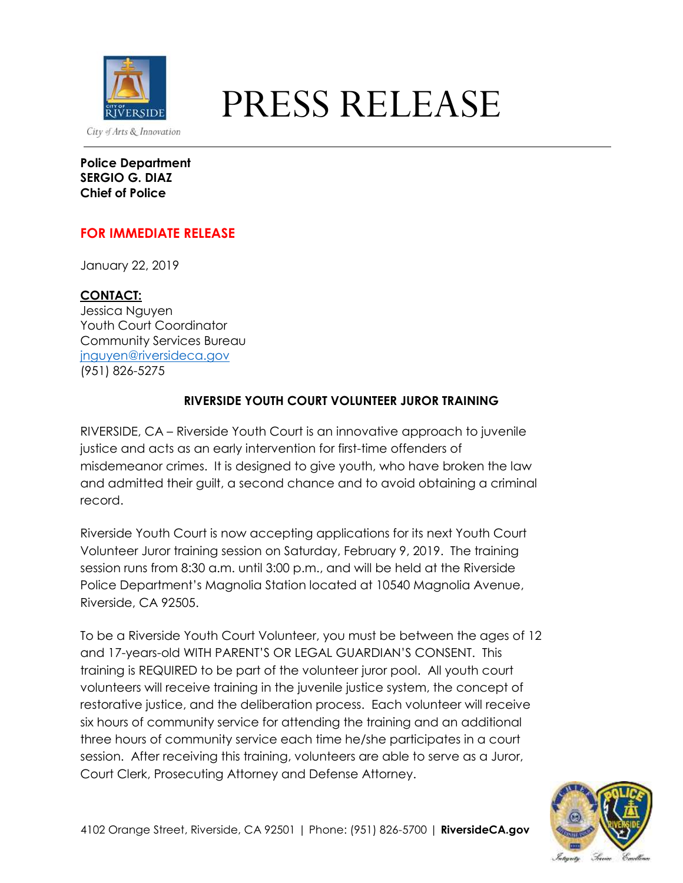

## **PRESS RELEASE**

**Police Department SERGIO G. DIAZ Chief of Police**

## **FOR IMMEDIATE RELEASE**

January 22, 2019

**CONTACT:** Jessica Nguyen Youth Court Coordinator Community Services Bureau [jnguyen@riversideca.gov](mailto:jnguyen@riversideca.gov) (951) 826-5275

## **RIVERSIDE YOUTH COURT VOLUNTEER JUROR TRAINING**

RIVERSIDE, CA – Riverside Youth Court is an innovative approach to juvenile justice and acts as an early intervention for first-time offenders of misdemeanor crimes. It is designed to give youth, who have broken the law and admitted their guilt, a second chance and to avoid obtaining a criminal record.

Riverside Youth Court is now accepting applications for its next Youth Court Volunteer Juror training session on Saturday, February 9, 2019. The training session runs from 8:30 a.m. until 3:00 p.m., and will be held at the Riverside Police Department's Magnolia Station located at 10540 Magnolia Avenue, Riverside, CA 92505.

To be a Riverside Youth Court Volunteer, you must be between the ages of 12 and 17-years-old WITH PARENT'S OR LEGAL GUARDIAN'S CONSENT. This training is REQUIRED to be part of the volunteer juror pool. All youth court volunteers will receive training in the juvenile justice system, the concept of restorative justice, and the deliberation process. Each volunteer will receive six hours of community service for attending the training and an additional three hours of community service each time he/she participates in a court session. After receiving this training, volunteers are able to serve as a Juror, Court Clerk, Prosecuting Attorney and Defense Attorney.